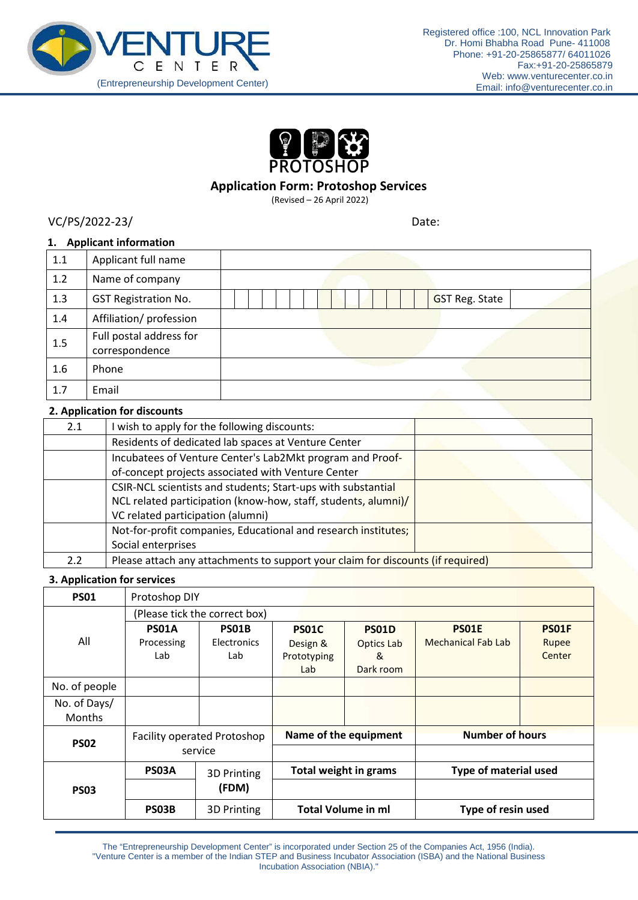



# **Application Form: Protoshop Services**

(Revised – 26 April 2022)

VC/PS/2022-23/ Date:

### **1. Applicant information**

| 1.1 | Applicant full name                       |                       |
|-----|-------------------------------------------|-----------------------|
| 1.2 | Name of company                           |                       |
| 1.3 | <b>GST Registration No.</b>               | <b>GST Reg. State</b> |
| 1.4 | Affiliation/ profession                   |                       |
| 1.5 | Full postal address for<br>correspondence |                       |
| 1.6 | Phone                                     |                       |
| 1.7 | Email                                     |                       |

### **2. Application for discounts**

| 2.1           | I wish to apply for the following discounts:                                    |  |  |  |  |
|---------------|---------------------------------------------------------------------------------|--|--|--|--|
|               | Residents of dedicated lab spaces at Venture Center                             |  |  |  |  |
|               | Incubatees of Venture Center's Lab2Mkt program and Proof-                       |  |  |  |  |
|               | of-concept projects associated with Venture Center                              |  |  |  |  |
|               | CSIR-NCL scientists and students; Start-ups with substantial                    |  |  |  |  |
|               | NCL related participation (know-how, staff, students, alumni)/                  |  |  |  |  |
|               | VC related participation (alumni)                                               |  |  |  |  |
|               | Not-for-profit companies, Educational and research institutes;                  |  |  |  |  |
|               | Social enterprises                                                              |  |  |  |  |
| $2.2^{\circ}$ | Please attach any attachments to support your claim for discounts (if required) |  |  |  |  |

# **3. Application for services**

| <b>PS01</b>   | Protoshop DIY                      |                    |                           |                   |                              |              |  |
|---------------|------------------------------------|--------------------|---------------------------|-------------------|------------------------------|--------------|--|
|               | (Please tick the correct box)      |                    |                           |                   |                              |              |  |
|               | PS01A                              | PS01B              | <b>PSO1C</b>              | <b>PS01D</b>      | <b>PS01E</b>                 | <b>PS01F</b> |  |
| All           | Processing                         | <b>Electronics</b> | Design &                  | <b>Optics Lab</b> | <b>Mechanical Fab Lab</b>    | Rupee        |  |
|               | Lab                                | Lab                | Prototyping               | &                 |                              | Center       |  |
|               |                                    |                    | Lab                       | Dark room         |                              |              |  |
| No. of people |                                    |                    |                           |                   |                              |              |  |
| No. of Days/  |                                    |                    |                           |                   |                              |              |  |
| Months        |                                    |                    |                           |                   |                              |              |  |
| <b>PS02</b>   | <b>Facility operated Protoshop</b> |                    | Name of the equipment     |                   | <b>Number of hours</b>       |              |  |
|               | service                            |                    |                           |                   |                              |              |  |
|               | PS03A                              | 3D Printing        | Total weight in grams     |                   | <b>Type of material used</b> |              |  |
| <b>PS03</b>   |                                    | (FDM)              |                           |                   |                              |              |  |
|               | PS03B                              | 3D Printing        | <b>Total Volume in ml</b> |                   | Type of resin used           |              |  |

The "Entrepreneurship Development Center" is incorporated under Section 25 of the Companies Act, 1956 (India). "Venture Center is a member of the Indian STEP and Business Incubator Association (ISBA) and the National Business Incubation Association (NBIA)."